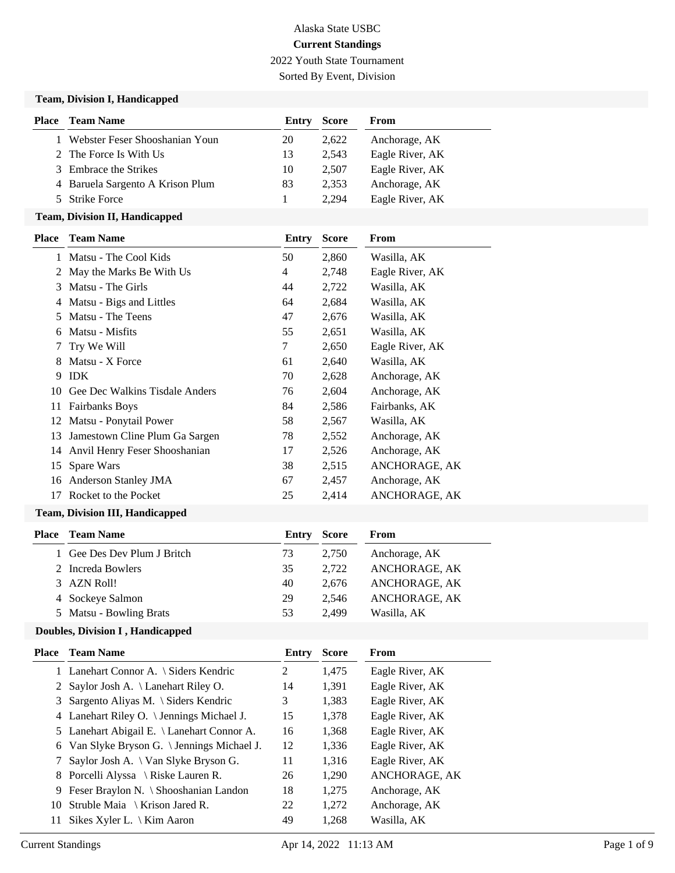# Alaska State USBC **Current Standings** 2022 Youth State Tournament

Sorted By Event, Division

#### **Team, Division I, Handicapped**

| <b>Place – Team Name</b>         | Entry | Score | From            |
|----------------------------------|-------|-------|-----------------|
| 1 Webster Feser Shooshanian Youn | 20    | 2.622 | Anchorage, AK   |
| 2 The Force Is With Us           | 13    | 2.543 | Eagle River, AK |
| 3 Embrace the Strikes            | 10    | 2.507 | Eagle River, AK |
| 4 Baruela Sargento A Krison Plum | 83    | 2.353 | Anchorage, AK   |
| 5 Strike Force                   |       | 2.294 | Eagle River, AK |

# **Team, Division II, Handicapped**

| Place | <b>Team Name</b>               | Entry | <b>Score</b> | From            |
|-------|--------------------------------|-------|--------------|-----------------|
| 1     | Matsu - The Cool Kids          | 50    | 2,860        | Wasilla, AK     |
| 2     | May the Marks Be With Us       | 4     | 2,748        | Eagle River, AK |
| 3     | Matsu - The Girls              | 44    | 2,722        | Wasilla, AK     |
| 4     | Matsu - Bigs and Littles       | 64    | 2,684        | Wasilla, AK     |
| 5     | Matsu - The Teens              | 47    | 2,676        | Wasilla, AK     |
| 6     | Matsu - Misfits                | 55    | 2,651        | Wasilla, AK     |
| 7     | Try We Will                    | 7     | 2,650        | Eagle River, AK |
| 8     | Matsu - X Force                | 61    | 2,640        | Wasilla, AK     |
| 9     | <b>IDK</b>                     | 70    | 2,628        | Anchorage, AK   |
| 10    | Gee Dec Walkins Tisdale Anders | 76    | 2,604        | Anchorage, AK   |
| 11    | <b>Fairbanks Boys</b>          | 84    | 2,586        | Fairbanks, AK   |
| 12    | Matsu - Ponytail Power         | 58    | 2,567        | Wasilla, AK     |
| 13    | Jamestown Cline Plum Ga Sargen | 78    | 2,552        | Anchorage, AK   |
| 14    | Anvil Henry Feser Shooshanian  | 17    | 2,526        | Anchorage, AK   |
| 15    | Spare Wars                     | 38    | 2,515        | ANCHORAGE, AK   |
| 16    | Anderson Stanley JMA           | 67    | 2,457        | Anchorage, AK   |
| 17    | Rocket to the Pocket           | 25    | 2,414        | ANCHORAGE, AK   |

# **Team, Division III, Handicapped**

| Place | <b>Team Name</b>            | Entry | <b>Score</b> | From          |
|-------|-----------------------------|-------|--------------|---------------|
|       | 1 Gee Des Dev Plum J Britch | 73    | 2.750        | Anchorage, AK |
|       | 2 Increda Bowlers           | 35    | 2.722        | ANCHORAGE, AK |
|       | 3 AZN Roll!                 | 40    | 2.676        | ANCHORAGE, AK |
|       | 4 Sockeye Salmon            | 29    | 2.546        | ANCHORAGE, AK |
|       | 5 Matsu - Bowling Brats     | 53    | 2.499        | Wasilla, AK   |
|       |                             |       |              |               |

#### **Doubles, Division I , Handicapped**

| Place | <b>Team Name</b>                            | Entry | <b>Score</b> | From            |
|-------|---------------------------------------------|-------|--------------|-----------------|
|       | 1 Lanehart Connor A. \ Siders Kendric       | 2     | 1,475        | Eagle River, AK |
|       | 2 Saylor Josh A. \ Lanehart Riley O.        | 14    | 1,391        | Eagle River, AK |
|       | 3 Sargento Aliyas M. \ Siders Kendric       | 3     | 1,383        | Eagle River, AK |
|       | 4 Lanehart Riley O. \ Jennings Michael J.   | 15    | 1,378        | Eagle River, AK |
|       | 5 Lanehart Abigail E. \ Lanehart Connor A.  | 16    | 1,368        | Eagle River, AK |
|       | 6 Van Slyke Bryson G. \ Jennings Michael J. | 12    | 1,336        | Eagle River, AK |
|       | Saylor Josh A. \ Van Slyke Bryson G.        | 11    | 1,316        | Eagle River, AK |
|       | 8 Porcelli Alyssa \ Riske Lauren R.         | 26    | 1,290        | ANCHORAGE, AK   |
| 9     | Feser Braylon N. \ Shooshanian Landon       | 18    | 1,275        | Anchorage, AK   |
| 10    | Struble Maia \ Krison Jared R.              | 22    | 1,272        | Anchorage, AK   |
| 11    | Sikes Xyler L. $\setminus$ Kim Aaron        | 49    | 1,268        | Wasilla. AK     |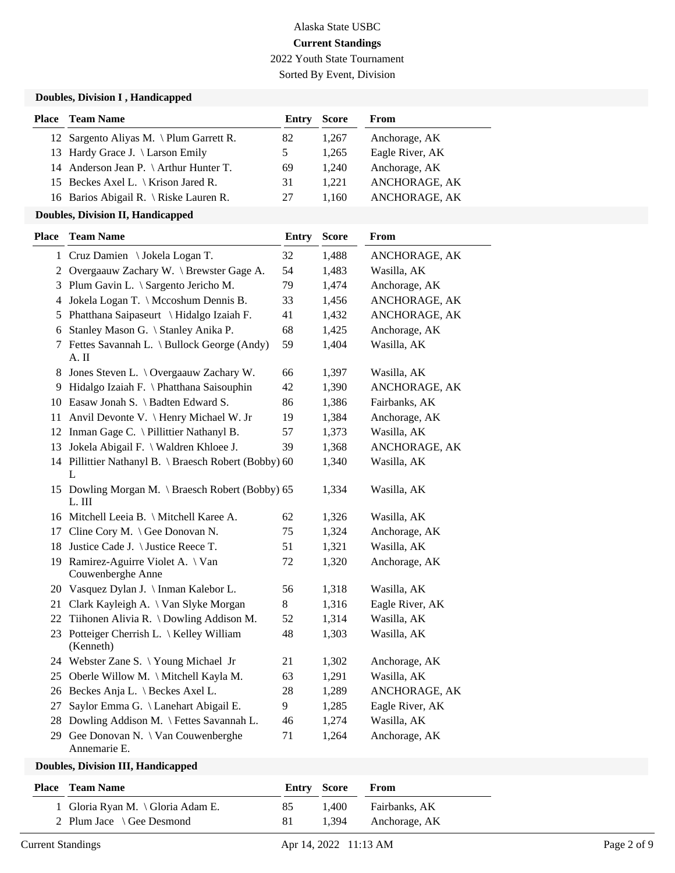2022 Youth State Tournament

Sorted By Event, Division

#### **Doubles, Division I , Handicapped**

| <b>Place</b> Team Name                         | Entry | Score | From            |
|------------------------------------------------|-------|-------|-----------------|
| 12 Sargento Aliyas M. \ Plum Garrett R.        | 82    | 1.267 | Anchorage, AK   |
| 13 Hardy Grace J. \ Larson Emily               |       | 1.265 | Eagle River, AK |
| 14 Anderson Jean P. \ Arthur Hunter T.         | 69    | 1.240 | Anchorage, AK   |
| 15 Beckes Axel L. $\backslash$ Krison Jared R. | 31    | 1.221 | ANCHORAGE, AK   |
| 16 Barios Abigail R. \ Riske Lauren R.         | 27    | 1.160 | ANCHORAGE, AK   |

#### **Doubles, Division II, Handicapped**

| Place  | <b>Team Name</b>                                           | <b>Entry</b> | <b>Score</b> | From            |
|--------|------------------------------------------------------------|--------------|--------------|-----------------|
|        | 1 Cruz Damien \ Jokela Logan T.                            | 32           | 1,488        | ANCHORAGE, AK   |
|        | 2 Overgaauw Zachary W. \ Brewster Gage A.                  | 54           | 1,483        | Wasilla, AK     |
|        | 3 Plum Gavin L. \ Sargento Jericho M.                      | 79           | 1,474        | Anchorage, AK   |
|        | 4 Jokela Logan T. \ Mccoshum Dennis B.                     | 33           | 1,456        | ANCHORAGE, AK   |
|        | 5 Phatthana Saipaseurt \ Hidalgo Izaiah F.                 | 41           | 1,432        | ANCHORAGE, AK   |
| 6      | Stanley Mason G. \ Stanley Anika P.                        | 68           | 1,425        | Anchorage, AK   |
| $\tau$ | Fettes Savannah L. \ Bullock George (Andy)<br>A. II        | 59           | 1,404        | Wasilla, AK     |
| 8      | Jones Steven L. \ Overgaauw Zachary W.                     | 66           | 1,397        | Wasilla, AK     |
|        | 9 Hidalgo Izaiah F. \ Phatthana Saisouphin                 | 42           | 1,390        | ANCHORAGE, AK   |
|        | 10 Easaw Jonah S. \ Badten Edward S.                       | 86           | 1,386        | Fairbanks, AK   |
|        | 11 Anvil Devonte V. \ Henry Michael W. Jr                  | 19           | 1,384        | Anchorage, AK   |
|        | 12 Inman Gage C. \ Pillittier Nathanyl B.                  | 57           | 1,373        | Wasilla, AK     |
|        | 13 Jokela Abigail F. \ Waldren Khloee J.                   | 39           | 1,368        | ANCHORAGE, AK   |
|        | 14 Pillittier Nathanyl B. \ Braesch Robert (Bobby) 60<br>L |              | 1,340        | Wasilla, AK     |
|        | 15 Dowling Morgan M. \ Braesch Robert (Bobby) 65<br>L. III |              | 1,334        | Wasilla, AK     |
|        | 16 Mitchell Leeia B. \ Mitchell Karee A.                   | 62           | 1,326        | Wasilla, AK     |
| 17     | Cline Cory M. $\setminus$ Gee Donovan N.                   | 75           | 1,324        | Anchorage, AK   |
|        | 18 Justice Cade J. \ Justice Reece T.                      | 51           | 1,321        | Wasilla, AK     |
|        | 19 Ramirez-Aguirre Violet A. \ Van<br>Couwenberghe Anne    | 72           | 1,320        | Anchorage, AK   |
|        | 20 Vasquez Dylan J. \ Inman Kalebor L.                     | 56           | 1,318        | Wasilla, AK     |
| 21     | Clark Kayleigh A. \ Van Slyke Morgan                       | 8            | 1,316        | Eagle River, AK |
| 22     | Tiihonen Alivia R. \ Dowling Addison M.                    | 52           | 1,314        | Wasilla, AK     |
|        | 23 Potteiger Cherrish L. \ Kelley William<br>(Kenneth)     | 48           | 1,303        | Wasilla, AK     |
|        | 24 Webster Zane S. \Young Michael Jr                       | 21           | 1,302        | Anchorage, AK   |
|        | 25 Oberle Willow M. \ Mitchell Kayla M.                    | 63           | 1,291        | Wasilla, AK     |
|        | 26 Beckes Anja L. \ Beckes Axel L.                         | 28           | 1,289        | ANCHORAGE, AK   |
| 27     | Saylor Emma G. \ Lanehart Abigail E.                       | 9            | 1,285        | Eagle River, AK |
|        | 28 Dowling Addison M. \ Fettes Savannah L.                 | 46           | 1,274        | Wasilla, AK     |
| 29     | Gee Donovan N. \ Van Couwenberghe<br>Annemarie E.          | 71           | 1,264        | Anchorage, AK   |
|        |                                                            |              |              |                 |

#### **Doubles, Division III, Handicapped**

| <b>Place</b> Team Name                  | Entry Score |       | From          |
|-----------------------------------------|-------------|-------|---------------|
| Gloria Ryan M. $\langle$ Gloria Adam E. | 85          | 1.400 | Fairbanks, AK |
| 2 Plum Jace $\setminus$ Gee Desmond     | 81          | 1.394 | Anchorage, AK |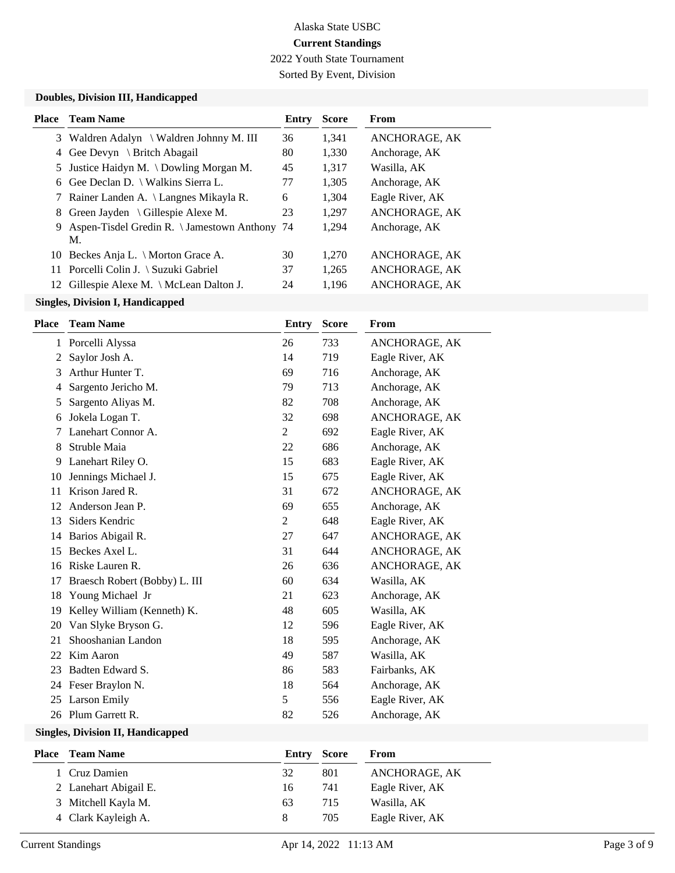2022 Youth State Tournament

Sorted By Event, Division

#### **Doubles, Division III, Handicapped**

| Place | <b>Team Name</b>                                      | Entry | <b>Score</b> | <b>From</b>     |
|-------|-------------------------------------------------------|-------|--------------|-----------------|
|       | 3 Waldren Adalyn \ Waldren Johnny M. III              | 36    | 1,341        | ANCHORAGE, AK   |
| 4     | Gee Devyn \ Britch Abagail                            | 80    | 1,330        | Anchorage, AK   |
| 5     | Justice Haidyn M. \ Dowling Morgan M.                 | 45    | 1,317        | Wasilla, AK     |
|       | 6 Gee Declan D. \ Walkins Sierra L.                   | 77    | 1,305        | Anchorage, AK   |
|       | 7 Rainer Landen A. \ Langnes Mikayla R.               | 6     | 1,304        | Eagle River, AK |
|       | 8 Green Jayden \ Gillespie Alexe M.                   | 23    | 1,297        | ANCHORAGE, AK   |
|       | 9 Aspen-Tisdel Gredin R. \ Jamestown Anthony 74<br>M. |       | 1,294        | Anchorage, AK   |
|       | 10 Beckes Anja L. \ Morton Grace A.                   | 30    | 1.270        | ANCHORAGE, AK   |
|       | 11 Porcelli Colin J. \ Suzuki Gabriel                 | 37    | 1,265        | ANCHORAGE, AK   |
|       | 12 Gillespie Alexe M. \ McLean Dalton J.              | 24    | 1.196        | ANCHORAGE, AK   |
|       |                                                       |       |              |                 |

# **Singles, Division I, Handicapped**

| <b>Place</b> | <b>Team Name</b>              | Entry          | <b>Score</b> | From            |
|--------------|-------------------------------|----------------|--------------|-----------------|
| 1            | Porcelli Alyssa               | 26             | 733          | ANCHORAGE, AK   |
| 2            | Saylor Josh A.                | 14             | 719          | Eagle River, AK |
| 3            | Arthur Hunter T.              | 69             | 716          | Anchorage, AK   |
| 4            | Sargento Jericho M.           | 79             | 713          | Anchorage, AK   |
| 5            | Sargento Aliyas M.            | 82             | 708          | Anchorage, AK   |
| 6            | Jokela Logan T.               | 32             | 698          | ANCHORAGE, AK   |
| 7            | Lanehart Connor A.            | $\mathbf{2}$   | 692          | Eagle River, AK |
| 8            | Struble Maia                  | 22             | 686          | Anchorage, AK   |
| 9            | Lanehart Riley O.             | 15             | 683          | Eagle River, AK |
| 10           | Jennings Michael J.           | 15             | 675          | Eagle River, AK |
| 11           | Krison Jared R.               | 31             | 672          | ANCHORAGE, AK   |
| 12           | Anderson Jean P.              | 69             | 655          | Anchorage, AK   |
| 13           | Siders Kendric                | $\overline{2}$ | 648          | Eagle River, AK |
| 14           | Barios Abigail R.             | 27             | 647          | ANCHORAGE, AK   |
| 15           | Beckes Axel L.                | 31             | 644          | ANCHORAGE, AK   |
| 16           | Riske Lauren R.               | 26             | 636          | ANCHORAGE, AK   |
| 17           | Braesch Robert (Bobby) L. III | 60             | 634          | Wasilla, AK     |
| 18           | Young Michael Jr              | 21             | 623          | Anchorage, AK   |
| 19           | Kelley William (Kenneth) K.   | 48             | 605          | Wasilla, AK     |
| 20           | Van Slyke Bryson G.           | 12             | 596          | Eagle River, AK |
| 21           | Shooshanian Landon            | 18             | 595          | Anchorage, AK   |
| 22           | Kim Aaron                     | 49             | 587          | Wasilla, AK     |
| 23           | Badten Edward S.              | 86             | 583          | Fairbanks, AK   |
| 24           | Feser Braylon N.              | 18             | 564          | Anchorage, AK   |
| 25           | <b>Larson Emily</b>           | 5              | 556          | Eagle River, AK |
| 26           | Plum Garrett R.               | 82             | 526          | Anchorage, AK   |

# **Singles, Division II, Handicapped**

| <b>Place</b> | <b>Team Name</b>      | <b>Entry Score</b> |     | From            |
|--------------|-----------------------|--------------------|-----|-----------------|
|              | 1 Cruz Damien         | 32                 | 801 | ANCHORAGE, AK   |
|              | 2 Lanehart Abigail E. | 16                 | 741 | Eagle River, AK |
|              | 3 Mitchell Kayla M.   | 63                 | 715 | Wasilla, AK     |
|              | 4 Clark Kayleigh A.   | 8                  | 705 | Eagle River, AK |
|              |                       |                    |     |                 |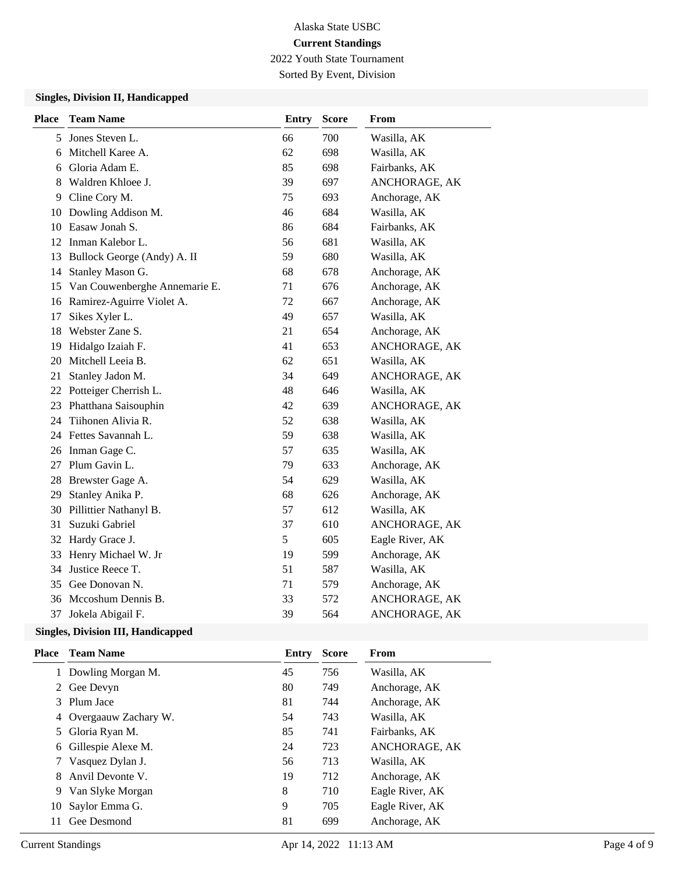2022 Youth State Tournament

Sorted By Event, Division

#### **Singles, Division II, Handicapped**

| <b>Place</b> | <b>Team Name</b>              | <b>Entry</b> | <b>Score</b> | From            |
|--------------|-------------------------------|--------------|--------------|-----------------|
| 5            | Jones Steven L.               | 66           | 700          | Wasilla, AK     |
| 6            | Mitchell Karee A.             | 62           | 698          | Wasilla, AK     |
| 6            | Gloria Adam E.                | 85           | 698          | Fairbanks, AK   |
| 8            | Waldren Khloee J.             | 39           | 697          | ANCHORAGE, AK   |
| 9            | Cline Cory M.                 | 75           | 693          | Anchorage, AK   |
| 10           | Dowling Addison M.            | 46           | 684          | Wasilla, AK     |
| 10           | Easaw Jonah S.                | 86           | 684          | Fairbanks, AK   |
| 12           | Inman Kalebor L.              | 56           | 681          | Wasilla, AK     |
| 13           | Bullock George (Andy) A. II   | 59           | 680          | Wasilla, AK     |
| 14           | Stanley Mason G.              | 68           | 678          | Anchorage, AK   |
| 15           | Van Couwenberghe Annemarie E. | 71           | 676          | Anchorage, AK   |
|              | 16 Ramirez-Aguirre Violet A.  | 72           | 667          | Anchorage, AK   |
| 17           | Sikes Xyler L.                | 49           | 657          | Wasilla, AK     |
| 18           | Webster Zane S.               | 21           | 654          | Anchorage, AK   |
| 19           | Hidalgo Izaiah F.             | 41           | 653          | ANCHORAGE, AK   |
| 20           | Mitchell Leeia B.             | 62           | 651          | Wasilla, AK     |
| 21           | Stanley Jadon M.              | 34           | 649          | ANCHORAGE, AK   |
|              | 22 Potteiger Cherrish L.      | 48           | 646          | Wasilla, AK     |
| 23           | Phatthana Saisouphin          | 42           | 639          | ANCHORAGE, AK   |
| 24           | Tiihonen Alivia R.            | 52           | 638          | Wasilla, AK     |
|              | 24 Fettes Savannah L.         | 59           | 638          | Wasilla, AK     |
| 26           | Inman Gage C.                 | 57           | 635          | Wasilla, AK     |
| 27           | Plum Gavin L.                 | 79           | 633          | Anchorage, AK   |
| 28           | Brewster Gage A.              | 54           | 629          | Wasilla, AK     |
| 29           | Stanley Anika P.              | 68           | 626          | Anchorage, AK   |
| 30           | Pillittier Nathanyl B.        | 57           | 612          | Wasilla, AK     |
| 31           | Suzuki Gabriel                | 37           | 610          | ANCHORAGE, AK   |
| 32           | Hardy Grace J.                | 5            | 605          | Eagle River, AK |
| 33           | Henry Michael W. Jr           | 19           | 599          | Anchorage, AK   |
| 34           | Justice Reece T.              | 51           | 587          | Wasilla, AK     |
| 35           | Gee Donovan N.                | 71           | 579          | Anchorage, AK   |
| 36           | Mccoshum Dennis B.            | 33           | 572          | ANCHORAGE, AK   |
| 37           | Jokela Abigail F.             | 39           | 564          | ANCHORAGE, AK   |

#### **Singles, Division III, Handicapped**

| Place | <b>Team Name</b>       | Entry | <b>Score</b> | From            |
|-------|------------------------|-------|--------------|-----------------|
|       | 1 Dowling Morgan M.    | 45    | 756          | Wasilla, AK     |
|       | 2 Gee Devyn            | 80    | 749          | Anchorage, AK   |
|       | 3 Plum Jace            | 81    | 744          | Anchorage, AK   |
|       | 4 Overgaauw Zachary W. | 54    | 743          | Wasilla, AK     |
|       | 5 Gloria Ryan M.       | 85    | 741          | Fairbanks, AK   |
|       | 6 Gillespie Alexe M.   | 24    | 723          | ANCHORAGE, AK   |
|       | 7 Vasquez Dylan J.     | 56    | 713          | Wasilla, AK     |
| 8.    | Anvil Devonte V.       | 19    | 712          | Anchorage, AK   |
|       | 9 Van Slyke Morgan     | 8     | 710          | Eagle River, AK |
| 10    | Saylor Emma G.         | 9     | 705          | Eagle River, AK |
| 11    | Gee Desmond            | 81    | 699          | Anchorage, AK   |
|       |                        |       |              |                 |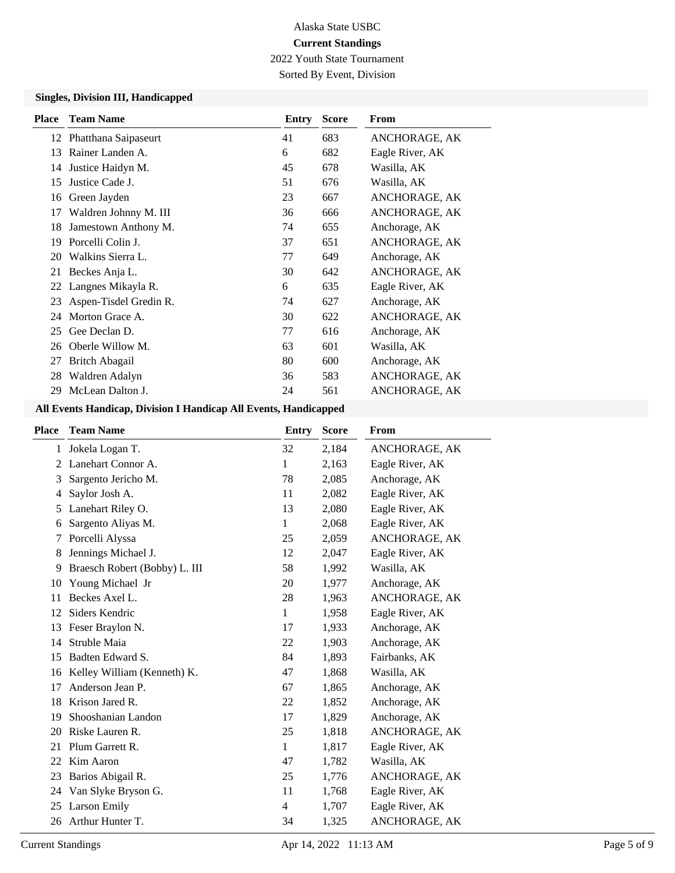2022 Youth State Tournament

Sorted By Event, Division

#### **Singles, Division III, Handicapped**

| <b>Place</b> | <b>Team Name</b>        | Entry | <b>Score</b> | From            |
|--------------|-------------------------|-------|--------------|-----------------|
|              | 12 Phatthana Saipaseurt | 41    | 683          | ANCHORAGE, AK   |
| 13           | Rainer Landen A.        | 6     | 682          | Eagle River, AK |
| 14           | Justice Haidyn M.       | 45    | 678          | Wasilla, AK     |
| 15           | Justice Cade J.         | 51    | 676          | Wasilla, AK     |
| 16           | Green Jayden            | 23    | 667          | ANCHORAGE, AK   |
| 17           | Waldren Johnny M. III   | 36    | 666          | ANCHORAGE, AK   |
| 18           | Jamestown Anthony M.    | 74    | 655          | Anchorage, AK   |
| 19           | Porcelli Colin J.       | 37    | 651          | ANCHORAGE, AK   |
| 20           | Walkins Sierra L.       | 77    | 649          | Anchorage, AK   |
| 21           | Beckes Anja L.          | 30    | 642          | ANCHORAGE, AK   |
| 22           | Langnes Mikayla R.      | 6     | 635          | Eagle River, AK |
| 23           | Aspen-Tisdel Gredin R.  | 74    | 627          | Anchorage, AK   |
| 24           | Morton Grace A.         | 30    | 622          | ANCHORAGE, AK   |
| 25           | Gee Declan D.           | 77    | 616          | Anchorage, AK   |
| 26           | Oberle Willow M.        | 63    | 601          | Wasilla, AK     |
| 27           | Britch Abagail          | 80    | 600          | Anchorage, AK   |
| 28           | Waldren Adalyn          | 36    | 583          | ANCHORAGE, AK   |
| 29           | McLean Dalton J.        | 24    | 561          | ANCHORAGE, AK   |

## **All Events Handicap, Division I Handicap All Events, Handicapped**

| <b>Place</b> | <b>Team Name</b>              | Entry        | <b>Score</b> | From            |
|--------------|-------------------------------|--------------|--------------|-----------------|
| 1            | Jokela Logan T.               | 32           | 2,184        | ANCHORAGE, AK   |
| 2            | Lanehart Connor A.            | 1            | 2,163        | Eagle River, AK |
| 3            | Sargento Jericho M.           | 78           | 2,085        | Anchorage, AK   |
| 4            | Saylor Josh A.                | 11           | 2,082        | Eagle River, AK |
| 5            | Lanehart Riley O.             | 13           | 2,080        | Eagle River, AK |
| 6            | Sargento Aliyas M.            | 1            | 2,068        | Eagle River, AK |
| 7            | Porcelli Alyssa               | 25           | 2,059        | ANCHORAGE, AK   |
| 8            | Jennings Michael J.           | 12           | 2,047        | Eagle River, AK |
| 9            | Braesch Robert (Bobby) L. III | 58           | 1,992        | Wasilla, AK     |
| 10           | Young Michael Jr              | 20           | 1,977        | Anchorage, AK   |
| 11           | Beckes Axel L.                | 28           | 1,963        | ANCHORAGE, AK   |
| 12           | Siders Kendric                | $\mathbf{1}$ | 1,958        | Eagle River, AK |
| 13           | Feser Braylon N.              | 17           | 1,933        | Anchorage, AK   |
| 14           | Struble Maia                  | 22           | 1,903        | Anchorage, AK   |
| 15           | Badten Edward S.              | 84           | 1,893        | Fairbanks, AK   |
| 16           | Kelley William (Kenneth) K.   | 47           | 1,868        | Wasilla, AK     |
| 17           | Anderson Jean P.              | 67           | 1,865        | Anchorage, AK   |
| 18           | Krison Jared R.               | 22           | 1,852        | Anchorage, AK   |
| 19           | Shooshanian Landon            | 17           | 1,829        | Anchorage, AK   |
| 20           | Riske Lauren R.               | 25           | 1,818        | ANCHORAGE, AK   |
| 21           | Plum Garrett R.               | 1            | 1,817        | Eagle River, AK |
| 22           | Kim Aaron                     | 47           | 1,782        | Wasilla, AK     |
| 23           | Barios Abigail R.             | 25           | 1,776        | ANCHORAGE, AK   |
| 24           | Van Slyke Bryson G.           | 11           | 1,768        | Eagle River, AK |
| 25           | Larson Emily                  | 4            | 1,707        | Eagle River, AK |
| 26           | Arthur Hunter T.              | 34           | 1,325        | ANCHORAGE, AK   |
|              |                               |              |              |                 |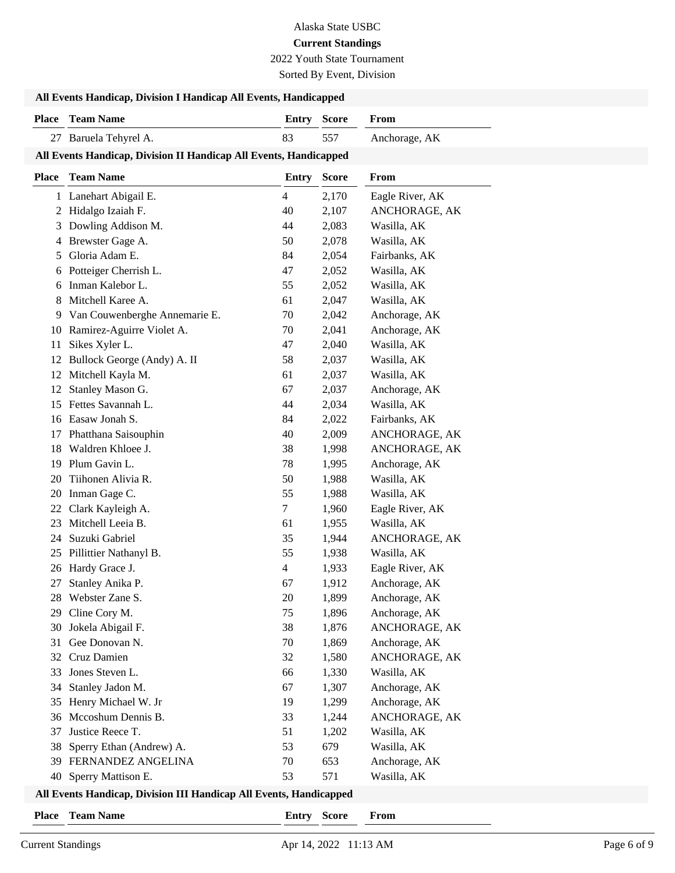# Alaska State USBC

# **Current Standings**

2022 Youth State Tournament

Sorted By Event, Division

| All Events Handicap, Division I Handicap All Events, Handicapped   |                                                                   |                    |                |                                |  |
|--------------------------------------------------------------------|-------------------------------------------------------------------|--------------------|----------------|--------------------------------|--|
|                                                                    | <b>Place</b> Team Name                                            | <b>Entry Score</b> |                | From                           |  |
|                                                                    | 27 Baruela Tehyrel A.                                             | 83                 | 557            | Anchorage, AK                  |  |
|                                                                    | All Events Handicap, Division II Handicap All Events, Handicapped |                    |                |                                |  |
|                                                                    | Place Team Name                                                   | Entry              | <b>Score</b>   | From                           |  |
|                                                                    | 1 Lanehart Abigail E.                                             | 4                  | 2,170          | Eagle River, AK                |  |
| 2                                                                  | Hidalgo Izaiah F.                                                 | 40                 | 2,107          | ANCHORAGE, AK                  |  |
| 3                                                                  | Dowling Addison M.                                                | 44                 | 2,083          | Wasilla, AK                    |  |
| 4                                                                  | Brewster Gage A.                                                  | 50                 | 2,078          | Wasilla, AK                    |  |
| 5                                                                  | Gloria Adam E.                                                    | 84                 | 2,054          | Fairbanks, AK                  |  |
| 6                                                                  | Potteiger Cherrish L.                                             | 47                 | 2,052          | Wasilla, AK                    |  |
| 6                                                                  | Inman Kalebor L.                                                  | 55                 | 2,052          | Wasilla, AK                    |  |
| 8                                                                  | Mitchell Karee A.                                                 | 61                 | 2,047          | Wasilla, AK                    |  |
| 9                                                                  | Van Couwenberghe Annemarie E.<br>Ramirez-Aguirre Violet A.        | 70<br>70           | 2,042          | Anchorage, AK<br>Anchorage, AK |  |
| 10<br>11                                                           | Sikes Xyler L.                                                    | 47                 | 2,041<br>2,040 | Wasilla, AK                    |  |
| 12                                                                 | Bullock George (Andy) A. II                                       | 58                 | 2,037          | Wasilla, AK                    |  |
| 12                                                                 | Mitchell Kayla M.                                                 | 61                 | 2,037          | Wasilla, AK                    |  |
| 12                                                                 | Stanley Mason G.                                                  | 67                 | 2,037          | Anchorage, AK                  |  |
| 15                                                                 | Fettes Savannah L.                                                | 44                 | 2,034          | Wasilla, AK                    |  |
| 16                                                                 | Easaw Jonah S.                                                    | 84                 | 2,022          | Fairbanks, AK                  |  |
| 17                                                                 | Phatthana Saisouphin                                              | 40                 | 2,009          | ANCHORAGE, AK                  |  |
| 18                                                                 | Waldren Khloee J.                                                 | 38                 | 1,998          | ANCHORAGE, AK                  |  |
| 19                                                                 | Plum Gavin L.                                                     | 78                 | 1,995          | Anchorage, AK                  |  |
| 20                                                                 | Tiihonen Alivia R.                                                | 50                 | 1,988          | Wasilla, AK                    |  |
| 20                                                                 | Inman Gage C.                                                     | 55                 | 1,988          | Wasilla, AK                    |  |
| 22                                                                 | Clark Kayleigh A.                                                 | 7                  | 1,960          | Eagle River, AK                |  |
| 23                                                                 | Mitchell Leeia B.                                                 | 61                 | 1,955          | Wasilla, AK                    |  |
| 24                                                                 | Suzuki Gabriel                                                    | 35                 | 1,944          | ANCHORAGE, AK                  |  |
| 25                                                                 | Pillittier Nathanyl B.                                            | 55                 | 1,938          | Wasilla, AK                    |  |
|                                                                    | 26 Hardy Grace J.                                                 | 4                  | 1,933          | Eagle River, AK                |  |
|                                                                    | 27 Stanley Anika P.                                               | 67                 | 1,912          | Anchorage, AK                  |  |
|                                                                    | 28 Webster Zane S.                                                | 20                 | 1,899          | Anchorage, AK                  |  |
| 29<br>30                                                           | Cline Cory M.<br>Jokela Abigail F.                                | 75<br>38           | 1,896<br>1,876 | Anchorage, AK<br>ANCHORAGE, AK |  |
| 31                                                                 | Gee Donovan N.                                                    | 70                 | 1,869          | Anchorage, AK                  |  |
| 32                                                                 | Cruz Damien                                                       | 32                 | 1,580          | ANCHORAGE, AK                  |  |
| 33                                                                 | Jones Steven L.                                                   | 66                 | 1,330          | Wasilla, AK                    |  |
| 34                                                                 | Stanley Jadon M.                                                  | 67                 | 1,307          | Anchorage, AK                  |  |
| 35                                                                 | Henry Michael W. Jr                                               | 19                 | 1,299          | Anchorage, AK                  |  |
| 36                                                                 | Mccoshum Dennis B.                                                | 33                 | 1,244          | ANCHORAGE, AK                  |  |
| 37                                                                 | Justice Reece T.                                                  | 51                 | 1,202          | Wasilla, AK                    |  |
| 38                                                                 | Sperry Ethan (Andrew) A.                                          | 53                 | 679            | Wasilla, AK                    |  |
|                                                                    | 39 FERNANDEZ ANGELINA                                             | 70                 | 653            | Anchorage, AK                  |  |
|                                                                    | 40 Sperry Mattison E.                                             | 53                 | 571            | Wasilla, AK                    |  |
| All Events Handicap, Division III Handicap All Events, Handicapped |                                                                   |                    |                |                                |  |

**Place Team Name Entry Score From**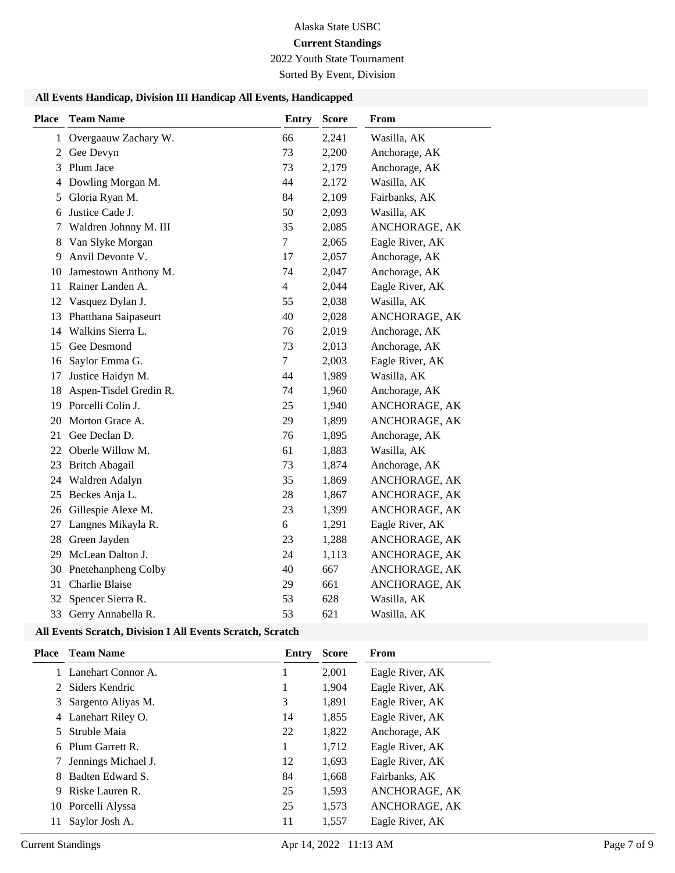# Alaska State USBC

# **Current Standings**

2022 Youth State Tournament

Sorted By Event, Division

## **All Events Handicap, Division III Handicap All Events, Handicapped**

| <b>Place</b>   | <b>Team Name</b>       | <b>Entry</b>   | <b>Score</b> | From            |
|----------------|------------------------|----------------|--------------|-----------------|
| 1              | Overgaauw Zachary W.   | 66             | 2,241        | Wasilla, AK     |
| 2              | Gee Devyn              | 73             | 2,200        | Anchorage, AK   |
| 3              | Plum Jace              | 73             | 2,179        | Anchorage, AK   |
| $\overline{4}$ | Dowling Morgan M.      | 44             | 2,172        | Wasilla, AK     |
| 5              | Gloria Ryan M.         | 84             | 2,109        | Fairbanks, AK   |
| 6              | Justice Cade J.        | 50             | 2,093        | Wasilla, AK     |
| 7              | Waldren Johnny M. III  | 35             | 2,085        | ANCHORAGE, AK   |
| 8              | Van Slyke Morgan       | $\tau$         | 2,065        | Eagle River, AK |
| 9              | Anvil Devonte V.       | 17             | 2,057        | Anchorage, AK   |
| 10             | Jamestown Anthony M.   | 74             | 2,047        | Anchorage, AK   |
| 11             | Rainer Landen A.       | $\overline{4}$ | 2,044        | Eagle River, AK |
| 12             | Vasquez Dylan J.       | 55             | 2,038        | Wasilla, AK     |
| 13             | Phatthana Saipaseurt   | 40             | 2,028        | ANCHORAGE, AK   |
| 14             | Walkins Sierra L.      | 76             | 2,019        | Anchorage, AK   |
|                | 15 Gee Desmond         | 73             | 2,013        | Anchorage, AK   |
| 16             | Saylor Emma G.         | $\tau$         | 2,003        | Eagle River, AK |
| 17             | Justice Haidyn M.      | 44             | 1,989        | Wasilla, AK     |
| 18             | Aspen-Tisdel Gredin R. | 74             | 1,960        | Anchorage, AK   |
| 19             | Porcelli Colin J.      | 25             | 1,940        | ANCHORAGE, AK   |
| 20             | Morton Grace A.        | 29             | 1,899        | ANCHORAGE, AK   |
| 21             | Gee Declan D.          | 76             | 1,895        | Anchorage, AK   |
|                | 22 Oberle Willow M.    | 61             | 1,883        | Wasilla, AK     |
| 23             | <b>Britch Abagail</b>  | 73             | 1,874        | Anchorage, AK   |
|                | 24 Waldren Adalyn      | 35             | 1,869        | ANCHORAGE, AK   |
| 25             | Beckes Anja L.         | 28             | 1,867        | ANCHORAGE, AK   |
| 26             | Gillespie Alexe M.     | 23             | 1,399        | ANCHORAGE, AK   |
| 27             | Langnes Mikayla R.     | 6              | 1,291        | Eagle River, AK |
| 28             | Green Jayden           | 23             | 1,288        | ANCHORAGE, AK   |
| 29             | McLean Dalton J.       | 24             | 1,113        | ANCHORAGE, AK   |
| 30             | Pnetehanpheng Colby    | 40             | 667          | ANCHORAGE, AK   |
| 31             | <b>Charlie Blaise</b>  | 29             | 661          | ANCHORAGE, AK   |
| 32             | Spencer Sierra R.      | 53             | 628          | Wasilla, AK     |
|                | 33 Gerry Annabella R.  | 53             | 621          | Wasilla, AK     |

## **All Events Scratch, Division I All Events Scratch, Scratch**

| <b>Place</b> | <b>Team Name</b>    | Entry | <b>Score</b> | From            |
|--------------|---------------------|-------|--------------|-----------------|
|              | Lanehart Connor A.  |       | 2,001        | Eagle River, AK |
|              | 2 Siders Kendric    | 1     | 1,904        | Eagle River, AK |
| 3.           | Sargento Aliyas M.  | 3     | 1,891        | Eagle River, AK |
| 4            | Lanehart Riley O.   | 14    | 1,855        | Eagle River, AK |
| 5.           | Struble Maia        | 22    | 1,822        | Anchorage, AK   |
| 6            | Plum Garrett R.     | 1     | 1,712        | Eagle River, AK |
|              | Jennings Michael J. | 12    | 1,693        | Eagle River, AK |
| 8            | Badten Edward S.    | 84    | 1,668        | Fairbanks, AK   |
| 9            | Riske Lauren R.     | 25    | 1,593        | ANCHORAGE, AK   |
|              | 10 Porcelli Alyssa  | 25    | 1,573        | ANCHORAGE, AK   |
| 11           | Saylor Josh A.      | 11    | 1,557        | Eagle River, AK |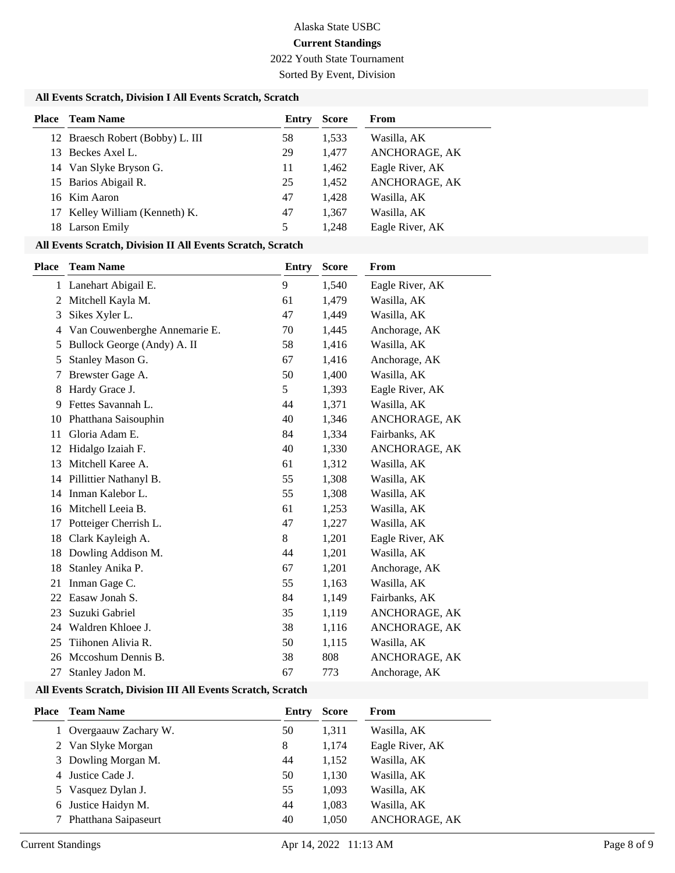2022 Youth State Tournament

Sorted By Event, Division

#### **All Events Scratch, Division I All Events Scratch, Scratch**

| <b>Place</b> Team Name           | Entry | <b>Score</b> | From            |
|----------------------------------|-------|--------------|-----------------|
| 12 Braesch Robert (Bobby) L. III | 58    | 1,533        | Wasilla, AK     |
| 13 Beckes Axel L.                | 29    | 1.477        | ANCHORAGE, AK   |
| 14 Van Slyke Bryson G.           | 11    | 1,462        | Eagle River, AK |
| 15 Barios Abigail R.             | 25    | 1,452        | ANCHORAGE, AK   |
| 16 Kim Aaron                     | 47    | 1,428        | Wasilla, AK     |
| 17 Kelley William (Kenneth) K.   | 47    | 1,367        | Wasilla, AK     |
| 18 Larson Emily                  | 5     | 1.248        | Eagle River, AK |

#### **All Events Scratch, Division II All Events Scratch, Scratch**

| Place | <b>Team Name</b>              | <b>Entry</b> | <b>Score</b> | From            |
|-------|-------------------------------|--------------|--------------|-----------------|
|       | 1 Lanehart Abigail E.         | 9            | 1,540        | Eagle River, AK |
| 2     | Mitchell Kayla M.             | 61           | 1,479        | Wasilla, AK     |
| 3     | Sikes Xyler L.                | 47           | 1,449        | Wasilla, AK     |
| 4     | Van Couwenberghe Annemarie E. | 70           | 1,445        | Anchorage, AK   |
| 5     | Bullock George (Andy) A. II   | 58           | 1,416        | Wasilla, AK     |
| 5     | Stanley Mason G.              | 67           | 1,416        | Anchorage, AK   |
| 7     | Brewster Gage A.              | 50           | 1,400        | Wasilla, AK     |
| 8     | Hardy Grace J.                | 5            | 1,393        | Eagle River, AK |
| 9     | Fettes Savannah L.            | 44           | 1,371        | Wasilla, AK     |
| 10    | Phatthana Saisouphin          | 40           | 1,346        | ANCHORAGE, AK   |
| 11    | Gloria Adam E.                | 84           | 1,334        | Fairbanks, AK   |
| 12    | Hidalgo Izaiah F.             | 40           | 1,330        | ANCHORAGE, AK   |
| 13    | Mitchell Karee A.             | 61           | 1,312        | Wasilla, AK     |
| 14    | Pillittier Nathanyl B.        | 55           | 1,308        | Wasilla, AK     |
| 14    | Inman Kalebor L.              | 55           | 1,308        | Wasilla, AK     |
| 16    | Mitchell Leeia B.             | 61           | 1,253        | Wasilla, AK     |
| 17    | Potteiger Cherrish L.         | 47           | 1,227        | Wasilla, AK     |
| 18    | Clark Kayleigh A.             | 8            | 1,201        | Eagle River, AK |
| 18    | Dowling Addison M.            | 44           | 1,201        | Wasilla, AK     |
| 18    | Stanley Anika P.              | 67           | 1,201        | Anchorage, AK   |
| 21    | Inman Gage C.                 | 55           | 1,163        | Wasilla, AK     |
| 22    | Easaw Jonah S.                | 84           | 1,149        | Fairbanks, AK   |
| 23    | Suzuki Gabriel                | 35           | 1,119        | ANCHORAGE, AK   |
| 24    | Waldren Khloee J.             | 38           | 1,116        | ANCHORAGE, AK   |
| 25    | Tiihonen Alivia R.            | 50           | 1,115        | Wasilla, AK     |
| 26    | Mccoshum Dennis B.            | 38           | 808          | ANCHORAGE, AK   |
| 27    | Stanley Jadon M.              | 67           | 773          | Anchorage, AK   |

#### **All Events Scratch, Division III All Events Scratch, Scratch**

| Place | <b>Team Name</b>       | Entry | <b>Score</b> | From            |
|-------|------------------------|-------|--------------|-----------------|
|       | 1 Overgaauw Zachary W. | 50    | 1,311        | Wasilla, AK     |
|       | 2 Van Slyke Morgan     | 8     | 1.174        | Eagle River, AK |
|       | 3 Dowling Morgan M.    | 44    | 1,152        | Wasilla, AK     |
|       | 4 Justice Cade J.      | 50    | 1,130        | Wasilla, AK     |
|       | 5 Vasquez Dylan J.     | 55    | 1,093        | Wasilla, AK     |
|       | 6 Justice Haidyn M.    | 44    | 1,083        | Wasilla, AK     |
|       | 7 Phatthana Saipaseurt | 40    | 1,050        | ANCHORAGE, AK   |